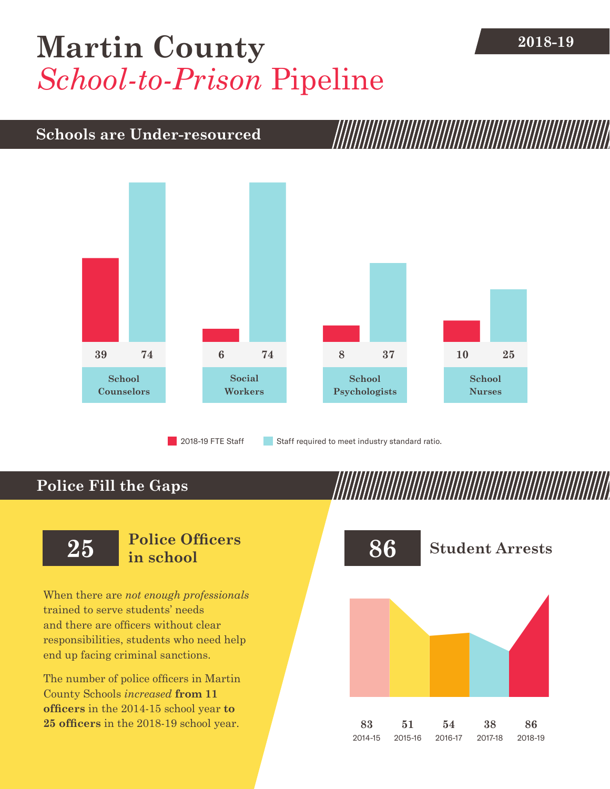## **[Martin County](DBF_County)** 2018-19 *School-to-Prison* Pipeline

## **Schools are Under-resourced**



**Police Fill the Gaps**

When there are *not enough professionals* trained to serve students' needs and there are officers without clear responsibilities, students who need help end up facing criminal sanctions.

The number of police officers in [Martin](DBF_County)  [County](DBF_County) Schools *increased* **from [11](DBF_PO1415)  officers** in the 2014-15 school year **to [25](DBF_PO) officers** in the 2018-19 school year.